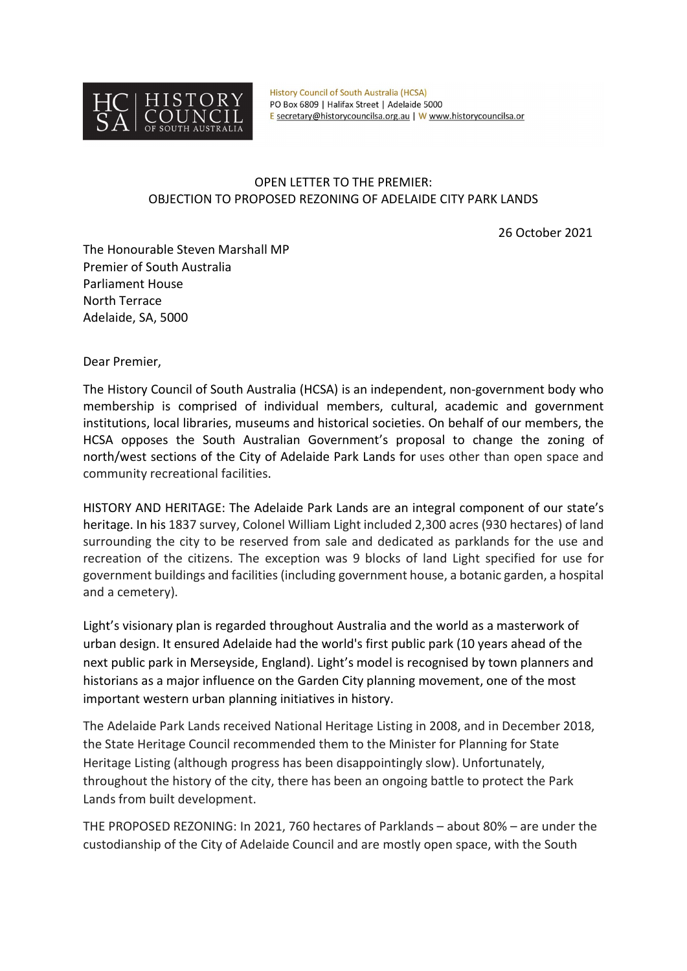

**History Council of South Australia (HCSA)** PO Box 6809 | Halifax Street | Adelaide 5000 E secretary@historycouncilsa.org.au | W www.historycouncilsa.or

## OPEN LETTER TO THE PREMIER: OBJECTION TO PROPOSED REZONING OF ADELAIDE CITY PARK LANDS

26 October 2021

The Honourable Steven Marshall MP Premier of South Australia Parliament House North Terrace Adelaide, SA, 5000

Dear Premier,

The History Council of South Australia (HCSA) is an independent, non-government body who membership is comprised of individual members, cultural, academic and government institutions, local libraries, museums and historical societies. On behalf of our members, the HCSA opposes the South Australian Government's proposal to change the zoning of north/west sections of the City of Adelaide Park Lands for uses other than open space and community recreational facilities.

HISTORY AND HERITAGE: The Adelaide Park Lands are an integral component of our state's heritage. In his 1837 survey, Colonel William Light included 2,300 acres (930 hectares) of land surrounding the city to be reserved from sale and dedicated as parklands for the use and recreation of the citizens. The exception was 9 blocks of land Light specified for use for government buildings and facilities (including government house, a botanic garden, a hospital and a cemetery).

Light's visionary plan is regarded throughout Australia and the world as a masterwork of urban design. It ensured Adelaide had the world's first public park (10 years ahead of the next public park in Merseyside, England). Light's model is recognised by town planners and historians as a major influence on the Garden City planning movement, one of the most important western urban planning initiatives in history.

The Adelaide Park Lands received National Heritage Listing in 2008, and in December 2018, the State Heritage Council recommended them to the Minister for Planning for State Heritage Listing (although progress has been disappointingly slow). Unfortunately, throughout the history of the city, there has been an ongoing battle to protect the Park Lands from built development.

THE PROPOSED REZONING: In 2021, 760 hectares of Parklands – about 80% – are under the custodianship of the City of Adelaide Council and are mostly open space, with the South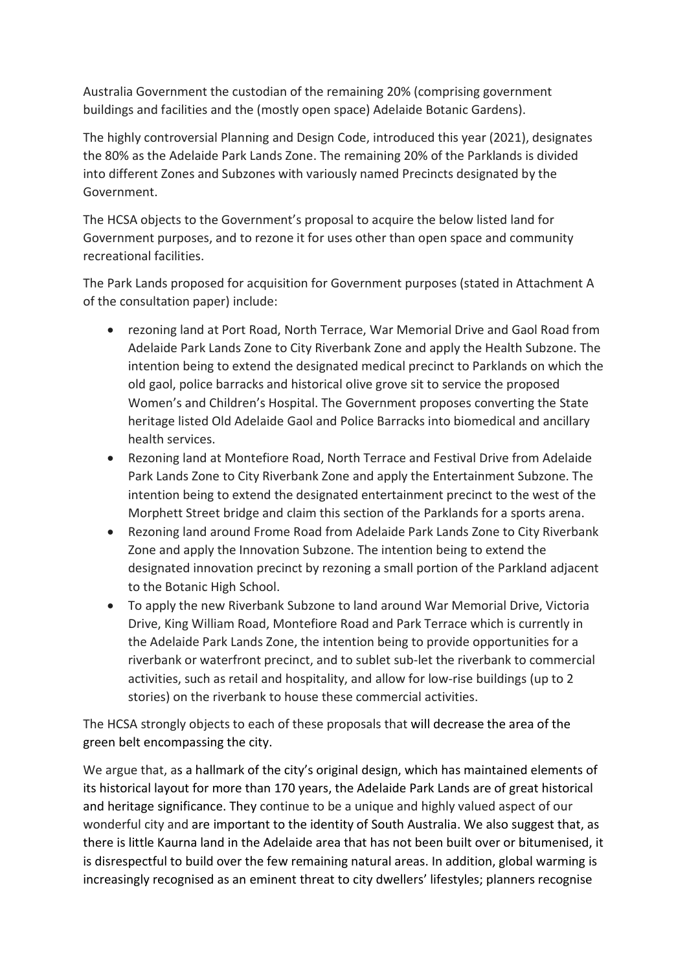Australia Government the custodian of the remaining 20% (comprising government buildings and facilities and the (mostly open space) Adelaide Botanic Gardens).

The highly controversial Planning and Design Code, introduced this year (2021), designates the 80% as the Adelaide Park Lands Zone. The remaining 20% of the Parklands is divided into different Zones and Subzones with variously named Precincts designated by the Government.

The HCSA objects to the Government's proposal to acquire the below listed land for Government purposes, and to rezone it for uses other than open space and community recreational facilities.

The Park Lands proposed for acquisition for Government purposes (stated in Attachment A of the consultation paper) include:

- rezoning land at Port Road, North Terrace, War Memorial Drive and Gaol Road from Adelaide Park Lands Zone to City Riverbank Zone and apply the Health Subzone. The intention being to extend the designated medical precinct to Parklands on which the old gaol, police barracks and historical olive grove sit to service the proposed Women's and Children's Hospital. The Government proposes converting the State heritage listed Old Adelaide Gaol and Police Barracks into biomedical and ancillary health services.
- Rezoning land at Montefiore Road, North Terrace and Festival Drive from Adelaide Park Lands Zone to City Riverbank Zone and apply the Entertainment Subzone. The intention being to extend the designated entertainment precinct to the west of the Morphett Street bridge and claim this section of the Parklands for a sports arena.
- Rezoning land around Frome Road from Adelaide Park Lands Zone to City Riverbank Zone and apply the Innovation Subzone. The intention being to extend the designated innovation precinct by rezoning a small portion of the Parkland adjacent to the Botanic High School.
- To apply the new Riverbank Subzone to land around War Memorial Drive, Victoria Drive, King William Road, Montefiore Road and Park Terrace which is currently in the Adelaide Park Lands Zone, the intention being to provide opportunities for a riverbank or waterfront precinct, and to sublet sub-let the riverbank to commercial activities, such as retail and hospitality, and allow for low-rise buildings (up to 2 stories) on the riverbank to house these commercial activities.

The HCSA strongly objects to each of these proposals that will decrease the area of the green belt encompassing the city.

We argue that, as a hallmark of the city's original design, which has maintained elements of its historical layout for more than 170 years, the Adelaide Park Lands are of great historical and heritage significance. They continue to be a unique and highly valued aspect of our wonderful city and are important to the identity of South Australia. We also suggest that, as there is little Kaurna land in the Adelaide area that has not been built over or bitumenised, it is disrespectful to build over the few remaining natural areas. In addition, global warming is increasingly recognised as an eminent threat to city dwellers' lifestyles; planners recognise